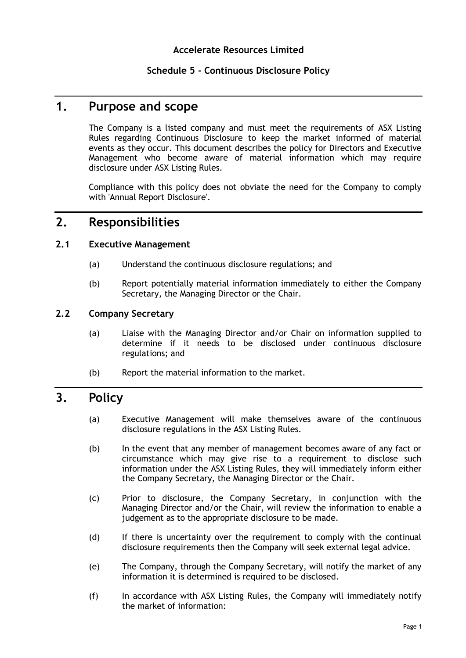## **Schedule 5 - Continuous Disclosure Policy**

## **1. Purpose and scope**

The Company is a listed company and must meet the requirements of ASX Listing Rules regarding Continuous Disclosure to keep the market informed of material events as they occur. This document describes the policy for Directors and Executive Management who become aware of material information which may require disclosure under ASX Listing Rules.

Compliance with this policy does not obviate the need for the Company to comply with 'Annual Report Disclosure'.

# **2. Responsibilities**

## **2.1 Executive Management**

- (a) Understand the continuous disclosure regulations; and
- (b) Report potentially material information immediately to either the Company Secretary, the Managing Director or the Chair.

## **2.2 Company Secretary**

- (a) Liaise with the Managing Director and/or Chair on information supplied to determine if it needs to be disclosed under continuous disclosure regulations; and
- (b) Report the material information to the market.

## **3. Policy**

- (a) Executive Management will make themselves aware of the continuous disclosure regulations in the ASX Listing Rules.
- (b) In the event that any member of management becomes aware of any fact or circumstance which may give rise to a requirement to disclose such information under the ASX Listing Rules, they will immediately inform either the Company Secretary, the Managing Director or the Chair.
- (c) Prior to disclosure, the Company Secretary, in conjunction with the Managing Director and/or the Chair, will review the information to enable a judgement as to the appropriate disclosure to be made.
- (d) If there is uncertainty over the requirement to comply with the continual disclosure requirements then the Company will seek external legal advice.
- (e) The Company, through the Company Secretary, will notify the market of any information it is determined is required to be disclosed.
- (f) In accordance with ASX Listing Rules, the Company will immediately notify the market of information: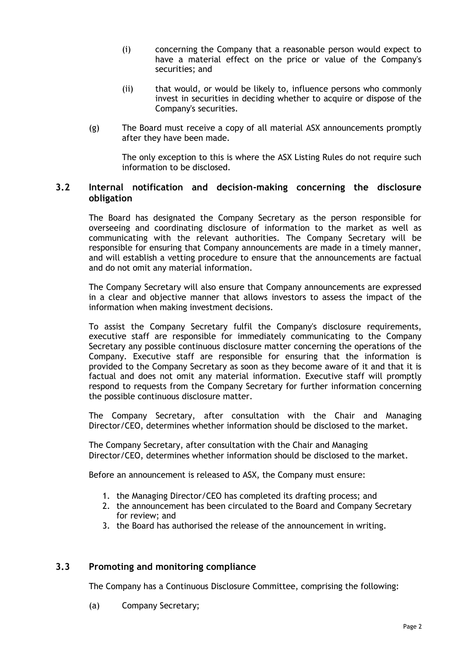- (i) concerning the Company that a reasonable person would expect to have a material effect on the price or value of the Company's securities; and
- (ii) that would, or would be likely to, influence persons who commonly invest in securities in deciding whether to acquire or dispose of the Company's securities.
- (g) The Board must receive a copy of all material ASX announcements promptly after they have been made.

The only exception to this is where the ASX Listing Rules do not require such information to be disclosed.

#### **3.2 Internal notification and decision-making concerning the disclosure obligation**

The Board has designated the Company Secretary as the person responsible for overseeing and coordinating disclosure of information to the market as well as communicating with the relevant authorities. The Company Secretary will be responsible for ensuring that Company announcements are made in a timely manner, and will establish a vetting procedure to ensure that the announcements are factual and do not omit any material information.

The Company Secretary will also ensure that Company announcements are expressed in a clear and objective manner that allows investors to assess the impact of the information when making investment decisions.

To assist the Company Secretary fulfil the Company's disclosure requirements, executive staff are responsible for immediately communicating to the Company Secretary any possible continuous disclosure matter concerning the operations of the Company. Executive staff are responsible for ensuring that the information is provided to the Company Secretary as soon as they become aware of it and that it is factual and does not omit any material information. Executive staff will promptly respond to requests from the Company Secretary for further information concerning the possible continuous disclosure matter.

The Company Secretary, after consultation with the Chair and Managing Director/CEO, determines whether information should be disclosed to the market.

The Company Secretary, after consultation with the Chair and Managing Director/CEO, determines whether information should be disclosed to the market.

Before an announcement is released to ASX, the Company must ensure:

- 1. the Managing Director/CEO has completed its drafting process; and
- 2. the announcement has been circulated to the Board and Company Secretary for review; and
- 3. the Board has authorised the release of the announcement in writing.

#### **3.3 Promoting and monitoring compliance**

The Company has a Continuous Disclosure Committee, comprising the following:

(a) Company Secretary;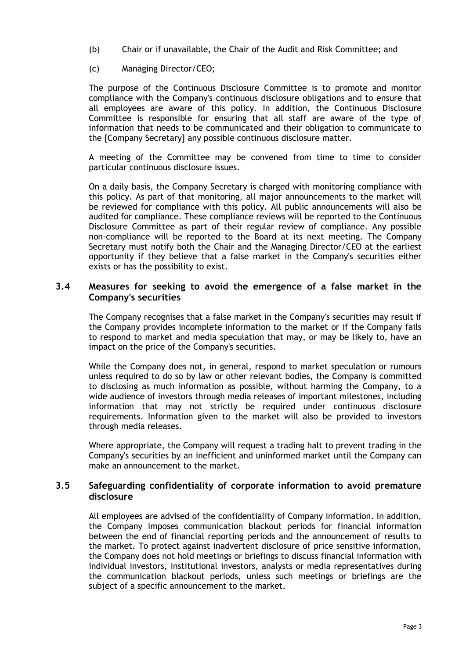- (b) Chair or if unavailable, the Chair of the Audit and Risk Committee; and
- (c) Managing Director/CEO;

The purpose of the Continuous Disclosure Committee is to promote and monitor compliance with the Company's continuous disclosure obligations and to ensure that all employees are aware of this policy. In addition, the Continuous Disclosure Committee is responsible for ensuring that all staff are aware of the type of information that needs to be communicated and their obligation to communicate to the [Company Secretary] any possible continuous disclosure matter.

A meeting of the Committee may be convened from time to time to consider particular continuous disclosure issues.

On a daily basis, the Company Secretary is charged with monitoring compliance with this policy. As part of that monitoring, all major announcements to the market will be reviewed for compliance with this policy. All public announcements will also be audited for compliance. These compliance reviews will be reported to the Continuous Disclosure Committee as part of their regular review of compliance. Any possible non-compliance will be reported to the Board at its next meeting. The Company Secretary must notify both the Chair and the Managing Director/CEO at the earliest opportunity if they believe that a false market in the Company's securities either exists or has the possibility to exist.

#### **3.4 Measures for seeking to avoid the emergence of a false market in the Company's securities**

The Company recognises that a false market in the Company's securities may result if the Company provides incomplete information to the market or if the Company fails to respond to market and media speculation that may, or may be likely to, have an impact on the price of the Company's securities.

While the Company does not, in general, respond to market speculation or rumours unless required to do so by law or other relevant bodies, the Company is committed to disclosing as much information as possible, without harming the Company, to a wide audience of investors through media releases of important milestones, including information that may not strictly be required under continuous disclosure requirements. Information given to the market will also be provided to investors through media releases.

Where appropriate, the Company will request a trading halt to prevent trading in the Company's securities by an inefficient and uninformed market until the Company can make an announcement to the market.

## **3.5 Safeguarding confidentiality of corporate information to avoid premature disclosure**

All employees are advised of the confidentiality of Company information. In addition, the Company imposes communication blackout periods for financial information between the end of financial reporting periods and the announcement of results to the market. To protect against inadvertent disclosure of price sensitive information, the Company does not hold meetings or briefings to discuss financial information with individual investors, institutional investors, analysts or media representatives during the communication blackout periods, unless such meetings or briefings are the subject of a specific announcement to the market.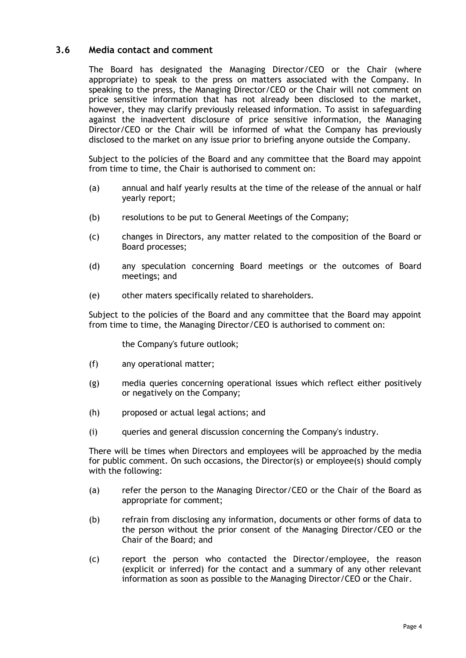### **3.6 Media contact and comment**

The Board has designated the Managing Director/CEO or the Chair (where appropriate) to speak to the press on matters associated with the Company. In speaking to the press, the Managing Director/CEO or the Chair will not comment on price sensitive information that has not already been disclosed to the market, however, they may clarify previously released information. To assist in safeguarding against the inadvertent disclosure of price sensitive information, the Managing Director/CEO or the Chair will be informed of what the Company has previously disclosed to the market on any issue prior to briefing anyone outside the Company.

Subject to the policies of the Board and any committee that the Board may appoint from time to time, the Chair is authorised to comment on:

- (a) annual and half yearly results at the time of the release of the annual or half yearly report;
- (b) resolutions to be put to General Meetings of the Company;
- (c) changes in Directors, any matter related to the composition of the Board or Board processes;
- (d) any speculation concerning Board meetings or the outcomes of Board meetings; and
- (e) other maters specifically related to shareholders.

Subject to the policies of the Board and any committee that the Board may appoint from time to time, the Managing Director/CEO is authorised to comment on:

the Company's future outlook;

- (f) any operational matter;
- (g) media queries concerning operational issues which reflect either positively or negatively on the Company;
- (h) proposed or actual legal actions; and
- (i) queries and general discussion concerning the Company's industry.

There will be times when Directors and employees will be approached by the media for public comment. On such occasions, the Director(s) or employee(s) should comply with the following:

- (a) refer the person to the Managing Director/CEO or the Chair of the Board as appropriate for comment;
- (b) refrain from disclosing any information, documents or other forms of data to the person without the prior consent of the Managing Director/CEO or the Chair of the Board; and
- (c) report the person who contacted the Director/employee, the reason (explicit or inferred) for the contact and a summary of any other relevant information as soon as possible to the Managing Director/CEO or the Chair.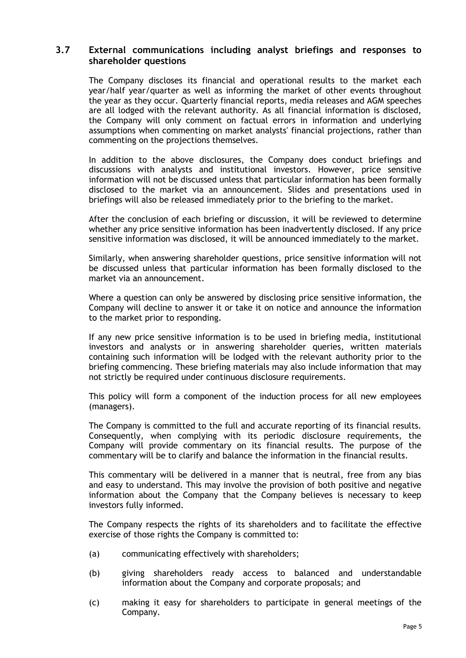#### **3.7 External communications including analyst briefings and responses to shareholder questions**

The Company discloses its financial and operational results to the market each year/half year/quarter as well as informing the market of other events throughout the year as they occur. Quarterly financial reports, media releases and AGM speeches are all lodged with the relevant authority. As all financial information is disclosed, the Company will only comment on factual errors in information and underlying assumptions when commenting on market analysts' financial projections, rather than commenting on the projections themselves.

In addition to the above disclosures, the Company does conduct briefings and discussions with analysts and institutional investors. However, price sensitive information will not be discussed unless that particular information has been formally disclosed to the market via an announcement. Slides and presentations used in briefings will also be released immediately prior to the briefing to the market.

After the conclusion of each briefing or discussion, it will be reviewed to determine whether any price sensitive information has been inadvertently disclosed. If any price sensitive information was disclosed, it will be announced immediately to the market.

Similarly, when answering shareholder questions, price sensitive information will not be discussed unless that particular information has been formally disclosed to the market via an announcement.

Where a question can only be answered by disclosing price sensitive information, the Company will decline to answer it or take it on notice and announce the information to the market prior to responding.

If any new price sensitive information is to be used in briefing media, institutional investors and analysts or in answering shareholder queries, written materials containing such information will be lodged with the relevant authority prior to the briefing commencing. These briefing materials may also include information that may not strictly be required under continuous disclosure requirements.

This policy will form a component of the induction process for all new employees (managers).

The Company is committed to the full and accurate reporting of its financial results. Consequently, when complying with its periodic disclosure requirements, the Company will provide commentary on its financial results. The purpose of the commentary will be to clarify and balance the information in the financial results.

This commentary will be delivered in a manner that is neutral, free from any bias and easy to understand. This may involve the provision of both positive and negative information about the Company that the Company believes is necessary to keep investors fully informed.

The Company respects the rights of its shareholders and to facilitate the effective exercise of those rights the Company is committed to:

- (a) communicating effectively with shareholders;
- (b) giving shareholders ready access to balanced and understandable information about the Company and corporate proposals; and
- (c) making it easy for shareholders to participate in general meetings of the Company.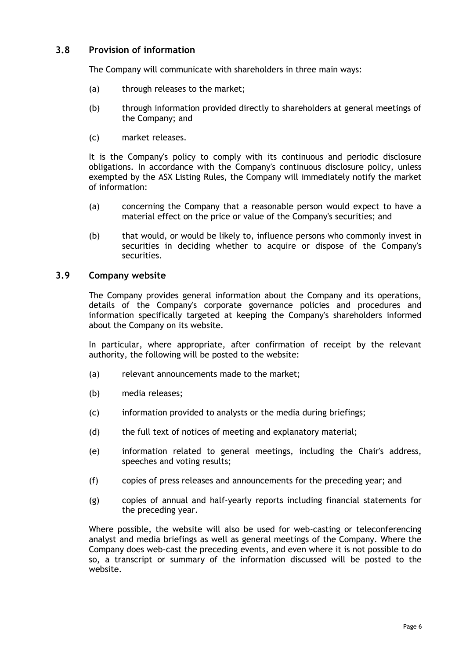## **3.8 Provision of information**

The Company will communicate with shareholders in three main ways:

- (a) through releases to the market;
- (b) through information provided directly to shareholders at general meetings of the Company; and
- (c) market releases.

It is the Company's policy to comply with its continuous and periodic disclosure obligations. In accordance with the Company's continuous disclosure policy, unless exempted by the ASX Listing Rules, the Company will immediately notify the market of information:

- (a) concerning the Company that a reasonable person would expect to have a material effect on the price or value of the Company's securities; and
- (b) that would, or would be likely to, influence persons who commonly invest in securities in deciding whether to acquire or dispose of the Company's securities.

## **3.9 Company website**

The Company provides general information about the Company and its operations, details of the Company's corporate governance policies and procedures and information specifically targeted at keeping the Company's shareholders informed about the Company on its website.

In particular, where appropriate, after confirmation of receipt by the relevant authority, the following will be posted to the website:

- (a) relevant announcements made to the market;
- (b) media releases;
- (c) information provided to analysts or the media during briefings;
- (d) the full text of notices of meeting and explanatory material;
- (e) information related to general meetings, including the Chair's address, speeches and voting results;
- (f) copies of press releases and announcements for the preceding year; and
- (g) copies of annual and half-yearly reports including financial statements for the preceding year.

Where possible, the website will also be used for web-casting or teleconferencing analyst and media briefings as well as general meetings of the Company. Where the Company does web-cast the preceding events, and even where it is not possible to do so, a transcript or summary of the information discussed will be posted to the website.